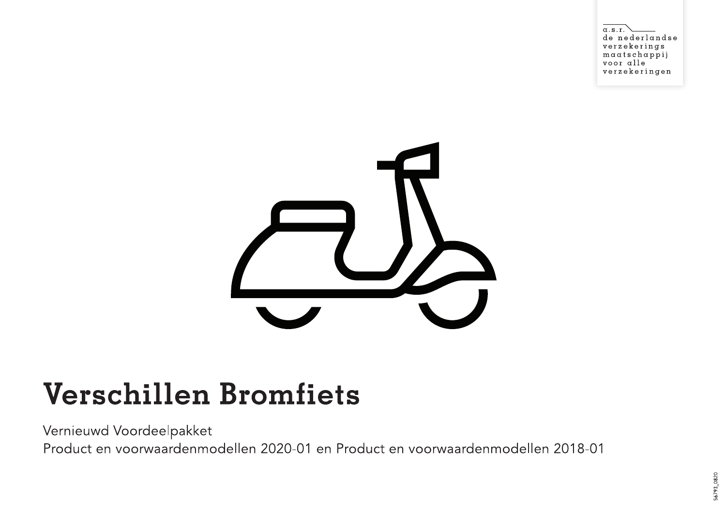$\alpha$ .s.r de nederlandse verzekerings  $maxatschappij$ voor alle verzekeringen



## **Verschillen Bromfiets**

Vernieuwd Voordeelpakket

Product en voorwaardenmodellen 2020-01 en Product en voorwaardenmodellen 2018-01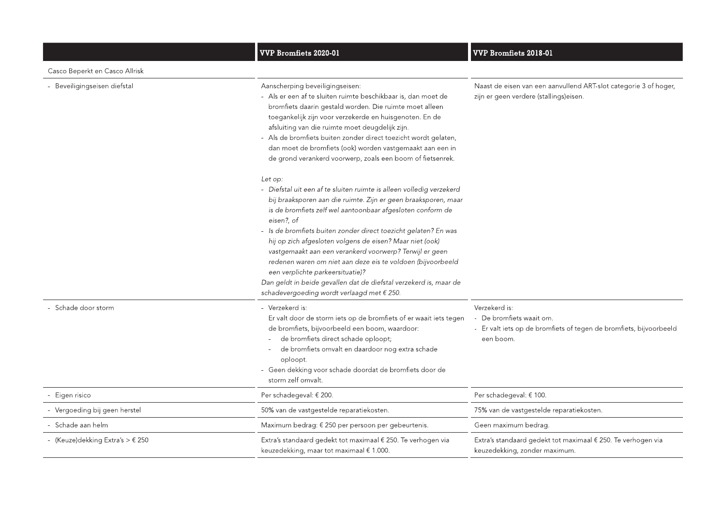|                                                       | <b>VVP Bromfiets 2020-01</b>                                                                                                                                                                                                                                                                                                                                                                                                                                                                                                                               | <b>VVP Bromfiets 2018-01</b>                                                                                                 |
|-------------------------------------------------------|------------------------------------------------------------------------------------------------------------------------------------------------------------------------------------------------------------------------------------------------------------------------------------------------------------------------------------------------------------------------------------------------------------------------------------------------------------------------------------------------------------------------------------------------------------|------------------------------------------------------------------------------------------------------------------------------|
| Casco Beperkt en Casco Allrisk                        |                                                                                                                                                                                                                                                                                                                                                                                                                                                                                                                                                            |                                                                                                                              |
| - Beveiligingseisen diefstal                          | Aanscherping beveiligingseisen:<br>- Als er een af te sluiten ruimte beschikbaar is, dan moet de<br>bromfiets daarin gestald worden. Die ruimte moet alleen<br>toegankelijk zijn voor verzekerde en huisgenoten. En de<br>afsluiting van die ruimte moet deugdelijk zijn.<br>- Als de bromfiets buiten zonder direct toezicht wordt gelaten,<br>dan moet de bromfiets (ook) worden vastgemaakt aan een in<br>de grond verankerd voorwerp, zoals een boom of fietsenrek.<br>Let op:<br>- Diefstal uit een af te sluiten ruimte is alleen volledig verzekerd | Naast de eisen van een aanvullend ART-slot categorie 3 of hoger,<br>zijn er geen verdere (stallings)eisen.                   |
|                                                       | bij braaksporen aan die ruimte. Zijn er geen braaksporen, maar<br>is de bromfiets zelf wel aantoonbaar afgesloten conform de<br>eisen?, of<br>- Is de bromfiets buiten zonder direct toezicht gelaten? En was                                                                                                                                                                                                                                                                                                                                              |                                                                                                                              |
|                                                       | hij op zich afgesloten volgens de eisen? Maar niet (ook)<br>vastgemaakt aan een verankerd voorwerp? Terwijl er geen<br>redenen waren om niet aan deze eis te voldoen (bijvoorbeeld<br>een verplichte parkeersituatie)?<br>Dan geldt in beide gevallen dat de diefstal verzekerd is, maar de<br>schadevergoeding wordt verlaagd met € 250.                                                                                                                                                                                                                  |                                                                                                                              |
| - Schade door storm                                   | - Verzekerd is:<br>Er valt door de storm iets op de bromfiets of er waait iets tegen<br>de bromfiets, bijvoorbeeld een boom, waardoor:<br>de bromfiets direct schade oploopt;<br>de bromfiets omvalt en daardoor nog extra schade<br>oploopt.<br>- Geen dekking voor schade doordat de bromfiets door de<br>storm zelf omvalt.                                                                                                                                                                                                                             | Verzekerd is:<br>- De bromfiets waait om.<br>- Er valt iets op de bromfiets of tegen de bromfiets, bijvoorbeeld<br>een boom. |
| Eigen risico                                          | Per schadegeval: € 200.                                                                                                                                                                                                                                                                                                                                                                                                                                                                                                                                    | Per schadegeval: € 100.                                                                                                      |
| - Vergoeding bij geen herstel                         | 50% van de vastgestelde reparatiekosten.                                                                                                                                                                                                                                                                                                                                                                                                                                                                                                                   | 75% van de vastgestelde reparatiekosten.                                                                                     |
| - Schade aan helm                                     | Maximum bedrag: € 250 per persoon per gebeurtenis.                                                                                                                                                                                                                                                                                                                                                                                                                                                                                                         | Geen maximum bedrag.                                                                                                         |
| - (Keuze)dekking Extra's $> \text{\textsterling} 250$ | Extra's standaard gedekt tot maximaal € 250. Te verhogen via<br>keuzedekking, maar tot maximaal € 1.000.                                                                                                                                                                                                                                                                                                                                                                                                                                                   | Extra's standaard gedekt tot maximaal € 250. Te verhogen via<br>keuzedekking, zonder maximum.                                |